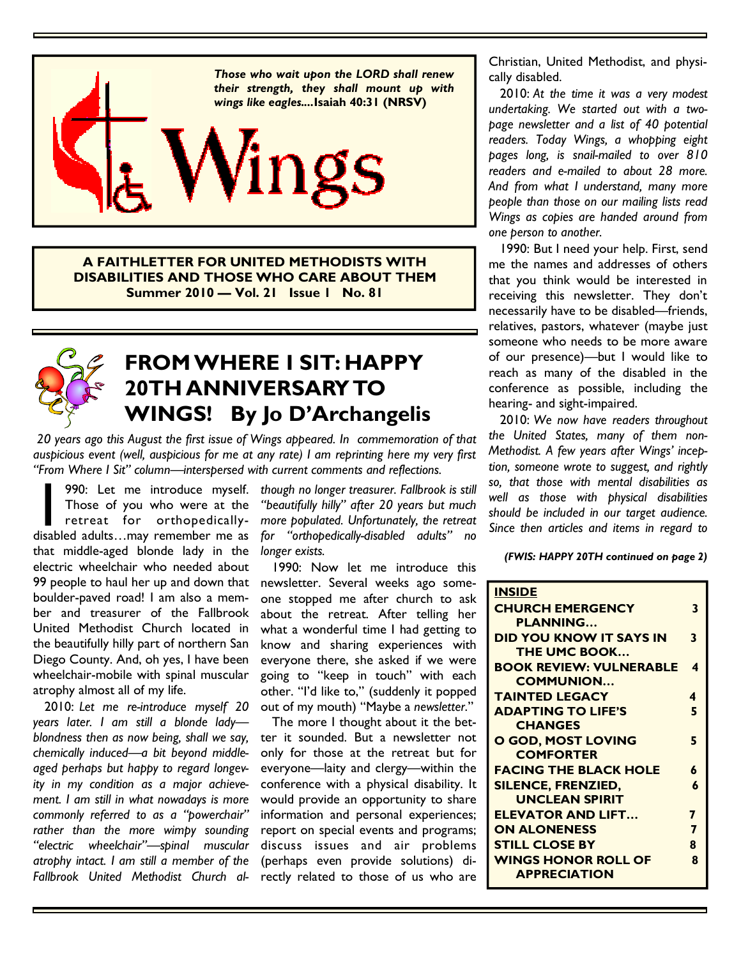

**A FAITHLETTER FOR UNITED METHODISTS WITH DISABILITIES AND THOSE WHO CARE ABOUT THEM Summer 2010 — Vol. 21 Issue 1 No. 81** 



# **FROM WHERE I SIT: HAPPY 20TH ANNIVERSARY TO WINGS! By Jo D'Archangelis**

 *20 years ago this August the first issue of Wings appeared. In commemoration of that auspicious event (well, auspicious for me at any rate) I am reprinting here my very first "From Where I Sit" column—interspersed with current comments and reflections.* 

990: Let me introduce myself.<br>
Those of you who were at the<br>
retreat for orthopedically-<br>
disabled adults...may remember me as Those of you who were at the retreat for orthopedicallythat middle-aged blonde lady in the electric wheelchair who needed about 99 people to haul her up and down that boulder-paved road! I am also a member and treasurer of the Fallbrook United Methodist Church located in the beautifully hilly part of northern San Diego County. And, oh yes, I have been wheelchair-mobile with spinal muscular atrophy almost all of my life.

 2010: *Let me re-introduce myself 20 years later. I am still a blonde lady blondness then as now being, shall we say, chemically induced—a bit beyond middleaged perhaps but happy to regard longevity in my condition as a major achievement. I am still in what nowadays is more commonly referred to as a "powerchair" rather than the more wimpy sounding "electric wheelchair"—spinal muscular atrophy intact. I am still a member of the Fallbrook United Methodist Church al-*

*though no longer treasurer. Fallbrook is still "beautifully hilly" after 20 years but much more populated. Unfortunately, the retreat for "orthopedically-disabled adults" no longer exists.*

 1990: Now let me introduce this newsletter. Several weeks ago someone stopped me after church to ask about the retreat. After telling her what a wonderful time I had getting to know and sharing experiences with everyone there, she asked if we were going to "keep in touch" with each other. "I'd like to," (suddenly it popped out of my mouth) "Maybe a *newsletter*."

 The more I thought about it the better it sounded. But a newsletter not only for those at the retreat but for everyone—laity and clergy—within the conference with a physical disability. It would provide an opportunity to share information and personal experiences; report on special events and programs; discuss issues and air problems (perhaps even provide solutions) directly related to those of us who are

Christian, United Methodist, and physically disabled.

 2010: *At the time it was a very modest undertaking. We started out with a twopage newsletter and a list of 40 potential readers. Today Wings, a whopping eight pages long, is snail-mailed to over 810 readers and e-mailed to about 28 more. And from what I understand, many more people than those on our mailing lists read Wings as copies are handed around from one person to another.*

 1990: But I need your help. First, send me the names and addresses of others that you think would be interested in receiving this newsletter. They don't necessarily have to be disabled—friends, relatives, pastors, whatever (maybe just someone who needs to be more aware of our presence)—but I would like to reach as many of the disabled in the conference as possible, including the hearing- and sight-impaired.

 2010: *We now have readers throughout the United States, many of them non-Methodist. A few years after Wings' inception, someone wrote to suggest, and rightly so, that those with mental disabilities as well as those with physical disabilities should be included in our target audience. Since then articles and items in regard to* 

*(FWIS: HAPPY 20TH continued on page 2)* 

| <b>INSIDE</b>                  |   |
|--------------------------------|---|
| <b>CHURCH EMERGENCY</b>        | 3 |
| <b>PLANNING</b>                |   |
| <b>DID YOU KNOW IT SAYS IN</b> | 3 |
| THE UMC BOOK                   |   |
| <b>BOOK REVIEW: VULNERABLE</b> | 4 |
| <b>COMMUNION</b>               |   |
| <b>TAINTED LEGACY</b>          | 4 |
| <b>ADAPTING TO LIFE'S</b>      | 5 |
| <b>CHANGES</b>                 |   |
| O GOD, MOST LOVING             | 5 |
| <b>COMFORTER</b>               |   |
| <b>FACING THE BLACK HOLE</b>   | 6 |
| <b>SILENCE, FRENZIED,</b>      | 6 |
| <b>UNCLEAN SPIRIT</b>          |   |
| <b>ELEVATOR AND LIFT</b>       | 7 |
| <b>ON ALONENESS</b>            | 7 |
| <b>STILL CLOSE BY</b>          | 8 |
| <b>WINGS HONOR ROLL OF</b>     | Զ |
| <b>APPRECIATION</b>            |   |
|                                |   |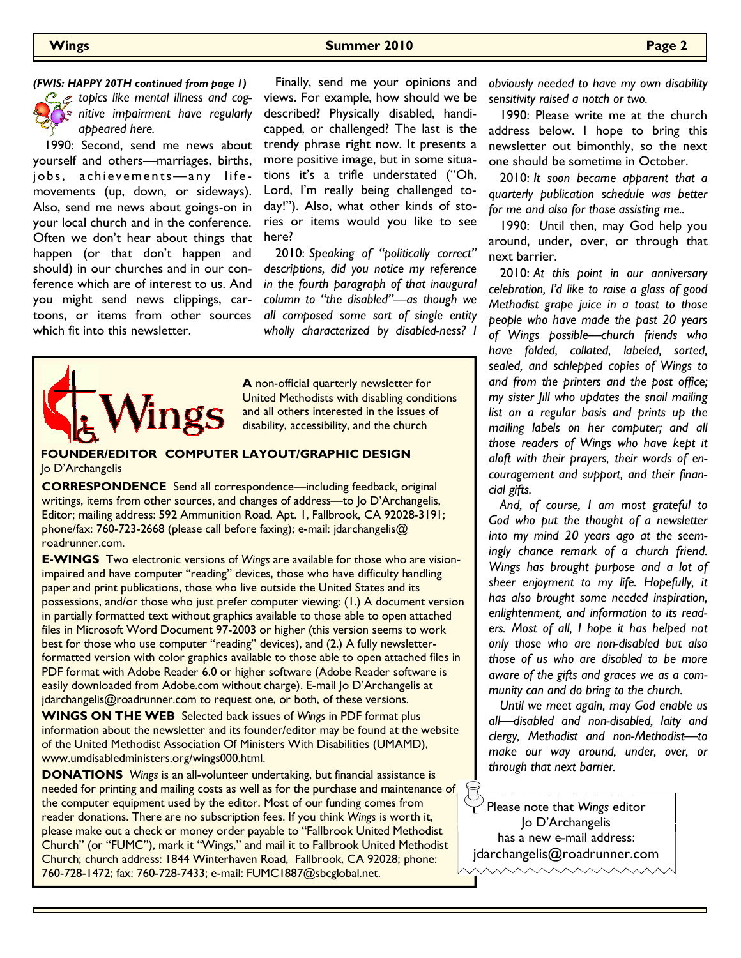#### **Wings Summer 2010 Page 2**



*C*  $\mathcal{L}$  topics like mental illness and cog*nitive impairment have regularly appeared here.*

 1990: Second, send me news about yourself and others—marriages, births, jobs, achievements-any lifemovements (up, down, or sideways). Also, send me news about goings-on in your local church and in the conference. Often we don't hear about things that happen (or that don't happen and should) in our churches and in our conference which are of interest to us. And you might send news clippings, cartoons, or items from other sources which fit into this newsletter.

 Finally, send me your opinions and views. For example, how should we be described? Physically disabled, handicapped, or challenged? The last is the trendy phrase right now. It presents a more positive image, but in some situations it's a trifle understated ("Oh, Lord, I'm really being challenged today!"). Also, what other kinds of stories or items would you like to see here? *(FWIS: HAPPY 20TH continued from page 1)* Finally, send me your opinions and *obviously needed to have my own disability* 

> 2010: *Speaking of "politically correct" descriptions, did you notice my reference in the fourth paragraph of that inaugural column to "the disabled"—as though we all composed some sort of single entity wholly characterized by disabled-ness? I*



**A** non-official quarterly newsletter for United Methodists with disabling conditions and all others interested in the issues of disability, accessibility, and the church

#### **FOUNDER/EDITOR COMPUTER LAYOUT/GRAPHIC DESIGN**  Jo D'Archangelis

**CORRESPONDENCE** Send all correspondence—including feedback, original writings, items from other sources, and changes of address—to Io D'Archangelis, Editor; mailing address: 592 Ammunition Road, Apt. 1, Fallbrook, CA 92028-3191; phone/fax: 760-723-2668 (please call before faxing); e-mail: jdarchangelis@ roadrunner.com.

**E-WINGS** Two electronic versions of *Wings* are available for those who are visionimpaired and have computer "reading" devices, those who have difficulty handling paper and print publications, those who live outside the United States and its possessions, and/or those who just prefer computer viewing: (1.) A document version in partially formatted text without graphics available to those able to open attached files in Microsoft Word Document 97-2003 or higher (this version seems to work best for those who use computer "reading" devices), and (2.) A fully newsletterformatted version with color graphics available to those able to open attached files in PDF format with Adobe Reader 6.0 or higher software (Adobe Reader software is easily downloaded from Adobe.com without charge). E-mail Jo D'Archangelis at jdarchangelis@roadrunner.com to request one, or both, of these versions.

**WINGS ON THE WEB** Selected back issues of *Wings* in PDF format plus information about the newsletter and its founder/editor may be found at the website of the United Methodist Association Of Ministers With Disabilities (UMAMD), www.umdisabledministers.org/wings000.html.

**DONATIONS** *Wings* is an all-volunteer undertaking, but financial assistance is needed for printing and mailing costs as well as for the purchase and maintenance of the computer equipment used by the editor. Most of our funding comes from reader donations. There are no subscription fees. If you think *Wings* is worth it, please make out a check or money order payable to "Fallbrook United Methodist Church" (or "FUMC"), mark it "Wings," and mail it to Fallbrook United Methodist Church; church address: 1844 Winterhaven Road, Fallbrook, CA 92028; phone: 760-728-1472; fax: 760-728-7433; e-mail: FUMC1887@sbcglobal.net.

*sensitivity raised a notch or two.* 

1990: Please write me at the church address below. I hope to bring this newsletter out bimonthly, so the next one should be sometime in October.

 2010: *It soon became apparent that a quarterly publication schedule was better for me and also for those assisting me..* 

1990: *U*ntil then, may God help you around, under, over, or through that next barrier.

 2010: *At this point in our anniversary celebration, I'd like to raise a glass of good Methodist grape juice in a toast to those people who have made the past 20 years of Wings possible—church friends who have folded, collated, labeled, sorted, sealed, and schlepped copies of Wings to and from the printers and the post office; my sister Jill who updates the snail mailing list on a regular basis and prints up the mailing labels on her computer; and all those readers of Wings who have kept it aloft with their prayers, their words of encouragement and support, and their financial gifts.* 

 *And, of course, I am most grateful to God who put the thought of a newsletter into my mind 20 years ago at the seemingly chance remark of a church friend. Wings has brought purpose and a lot of sheer enjoyment to my life. Hopefully, it has also brought some needed inspiration, enlightenment, and information to its readers. Most of all, I hope it has helped not only those who are non-disabled but also those of us who are disabled to be more aware of the gifts and graces we as a community can and do bring to the church.* 

 *Until we meet again, may God enable us all—disabled and non-disabled, laity and clergy, Methodist and non-Methodist—to make our way around, under, over, or through that next barrier.* 

Please note that *Wings* editor Jo D'Archangelis has a new e-mail address: jdarchangelis@roadrunner.com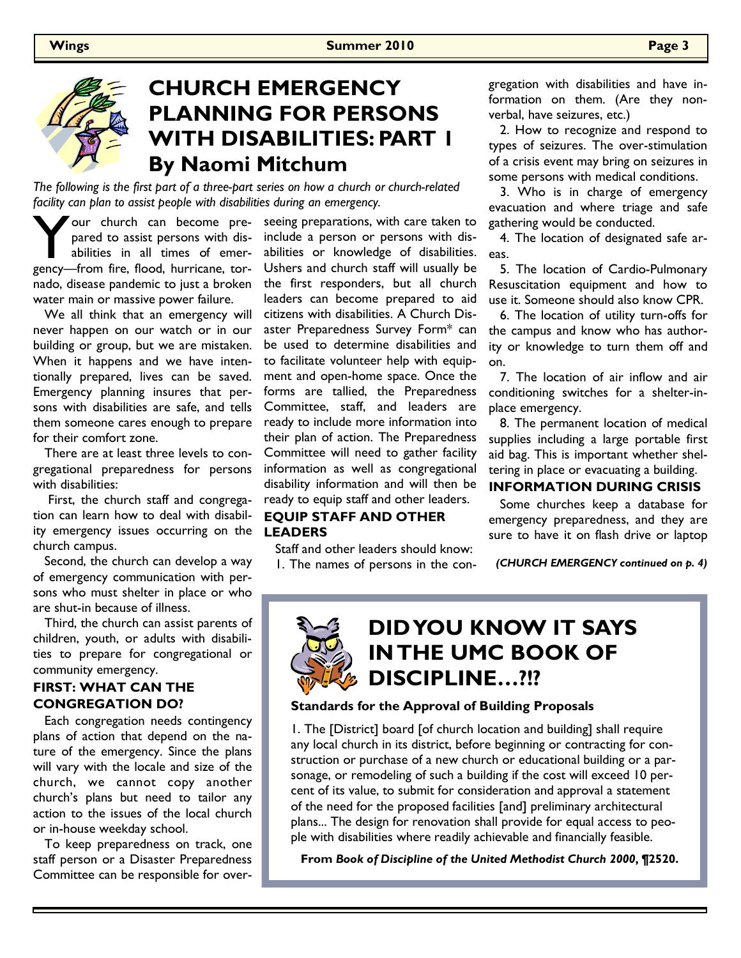

## **CHURCH EMERGENCY PLANNING FOR PERSONS WITH DISABILITIES: PART 1 By Naomi Mitchum**

*The following is the first part of a three-part series on how a church or church-related facility can plan to assist people with disabilities during an emergency.* 

Your church can become pre-<br>pared to assist persons with dis-<br>abilities in all times of emer-<br>gency—from fire, flood, hurricane, torpared to assist persons with disabilities in all times of emernado, disease pandemic to just a broken water main or massive power failure.

 We all think that an emergency will never happen on our watch or in our building or group, but we are mistaken. When it happens and we have intentionally prepared, lives can be saved. Emergency planning insures that persons with disabilities are safe, and tells them someone cares enough to prepare for their comfort zone.

 There are at least three levels to congregational preparedness for persons with disabilities:

 First, the church staff and congregation can learn how to deal with disability emergency issues occurring on the church campus.

 Second, the church can develop a way of emergency communication with persons who must shelter in place or who are shut-in because of illness.

 Third, the church can assist parents of children, youth, or adults with disabilities to prepare for congregational or community emergency.

### **FIRST: WHAT CAN THE CONGREGATION DO?**

 Each congregation needs contingency plans of action that depend on the nature of the emergency. Since the plans will vary with the locale and size of the church, we cannot copy another church's plans but need to tailor any action to the issues of the local church or in-house weekday school.

 To keep preparedness on track, one staff person or a Disaster Preparedness Committee can be responsible for overseeing preparations, with care taken to include a person or persons with disabilities or knowledge of disabilities. Ushers and church staff will usually be the first responders, but all church leaders can become prepared to aid citizens with disabilities. A Church Disaster Preparedness Survey Form\* can be used to determine disabilities and to facilitate volunteer help with equipment and open-home space. Once the forms are tallied, the Preparedness Committee, staff, and leaders are ready to include more information into their plan of action. The Preparedness Committee will need to gather facility information as well as congregational disability information and will then be ready to equip staff and other leaders.

### **EQUIP STAFF AND OTHER LEADERS**

 Staff and other leaders should know: 1. The names of persons in the congregation with disabilities and have information on them. (Are they nonverbal, have seizures, etc.)

 2. How to recognize and respond to types of seizures. The over-stimulation of a crisis event may bring on seizures in some persons with medical conditions.

 3. Who is in charge of emergency evacuation and where triage and safe gathering would be conducted.

 4. The location of designated safe areas.

 5. The location of Cardio-Pulmonary Resuscitation equipment and how to use it. Someone should also know CPR.

 6. The location of utility turn-offs for the campus and know who has authority or knowledge to turn them off and on.

 7. The location of air inflow and air conditioning switches for a shelter-inplace emergency.

 8. The permanent location of medical supplies including a large portable first aid bag. This is important whether sheltering in place or evacuating a building.

### **INFORMATION DURING CRISIS**

 Some churches keep a database for emergency preparedness, and they are sure to have it on flash drive or laptop

*(CHURCH EMERGENCY continued on p. 4)* 



#### **Standards for the Approval of Building Proposals**

1. The [District] board [of church location and building] shall require any local church in its district, before beginning or contracting for construction or purchase of a new church or educational building or a parsonage, or remodeling of such a building if the cost will exceed 10 percent of its value, to submit for consideration and approval a statement of the need for the proposed facilities [and] preliminary architectural plans... The design for renovation shall provide for equal access to people with disabilities where readily achievable and financially feasible.

**From** *Book of Discipline of the United Methodist Church 2000***, ¶2520.**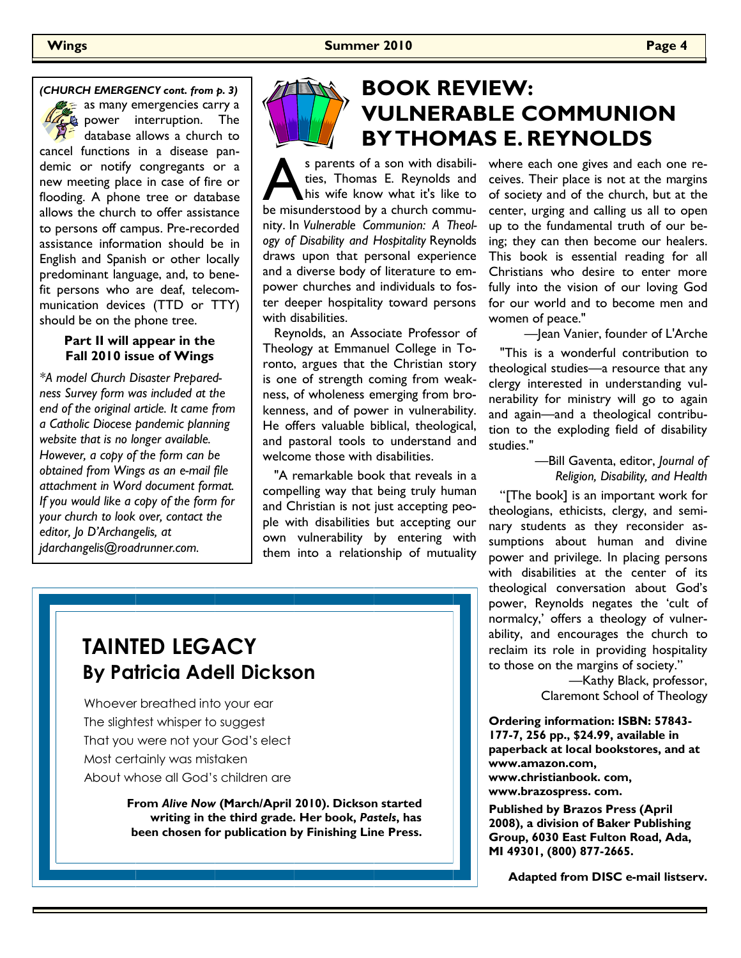$\epsilon$  as many emergencies carry a power interruption. The database allows a church to cancel functions in a disease pandemic or notify congregants or a new meeting place in case of fire or flooding. A phone tree or database allows the church to offer assistance to persons off campus. Pre-recorded assistance information should be in English and Spanish or other locally predominant language, and, to benefit persons who are deaf, telecommunication devices (TTD or TTY) should be on the phone tree.

### **Part II will appear in the Fall 2010 issue of Wings**

*\*A model Church Disaster Preparedness Survey form was included at the end of the original article. It came from a Catholic Diocese pandemic planning website that is no longer available. However, a copy of the form can be obtained from Wings as an e-mail file attachment in Word document format. If you would like a copy of the form for your church to look over, contact the editor, Jo D'Archangelis, at jdarchangelis@roadrunner.com.* 



# **BOOK REVIEW: VULNERABLE COMMUNION BY THOMAS E. REYNOLDS**

s parents of a son with disabilities, Thomas E. Reynolds and his wife know what it's like to be misunderstood by a church commuties, Thomas E. Reynolds and his wife know what it's like to nity. In *Vulnerable Communion: A Theology of Disability and Hospitality* Reynolds draws upon that personal experience and a diverse body of literature to empower churches and individuals to foster deeper hospitality toward persons with disabilities.

 Reynolds, an Associate Professor of Theology at Emmanuel College in Toronto, argues that the Christian story is one of strength coming from weakness, of wholeness emerging from brokenness, and of power in vulnerability. He offers valuable biblical, theological, and pastoral tools to understand and welcome those with disabilities.

 "A remarkable book that reveals in a compelling way that being truly human and Christian is not just accepting people with disabilities but accepting our own vulnerability by entering with them into a relationship of mutuality where each one gives and each one receives. Their place is not at the margins of society and of the church, but at the center, urging and calling us all to open up to the fundamental truth of our being; they can then become our healers. This book is essential reading for all Christians who desire to enter more fully into the vision of our loving God for our world and to become men and women of peace."

 —Jean Vanier, founder of L'Arche "This is a wonderful contribution to theological studies—a resource that any clergy interested in understanding vulnerability for ministry will go to again and again—and a theological contribution to the exploding field of disability studies."

> —Bill Gaventa, editor, *Journal of Religion, Disability, and Health*

"[The book] is an important work for theologians, ethicists, clergy, and seminary students as they reconsider assumptions about human and divine power and privilege. In placing persons with disabilities at the center of its theological conversation about God's power, Reynolds negates the 'cult of normalcy,' offers a theology of vulnerability, and encourages the church to reclaim its role in providing hospitality to those on the margins of society."

> —Kathy Black, professor, Claremont School of Theology

**Ordering information: ISBN: 57843- 177-7, 256 pp., \$24.99, available in paperback at local bookstores, and at www.amazon.com, www.christianbook. com, www.brazospress. com.** 

**Published by Brazos Press (April 2008), a division of Baker Publishing Group, 6030 East Fulton Road, Ada, MI 49301, (800) 877-2665.** 

**Adapted from DISC e-mail listserv.** 

# **TAINTED LEGACY By Patricia Adell Dickson**

Whoever breathed into your ear The slightest whisper to suggest That you were not your God's elect Most certainly was mistaken About whose all God's children are

> **From** *Alive Now* **(March/April 2010). Dickson started writing in the third grade. Her book,** *Pastels***, has been chosen for publication by Finishing Line Press.**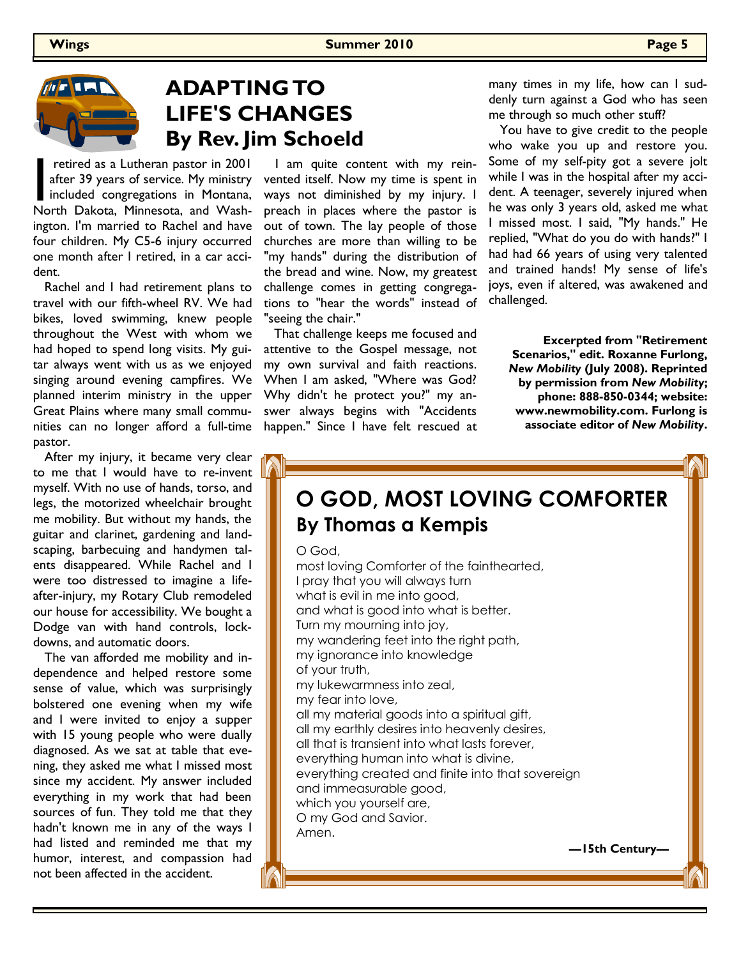

## **ADAPTING TO LIFE'S CHANGES By Rev. Jim Schoeld**

retired as a Lutheran pastor in 2001<br>after 39 years of service. My ministry<br>included congregations in Montana,<br>North Dakota. Minnesota. and Washafter 39 years of service. My ministry included congregations in Montana, North Dakota, Minnesota, and Washington. I'm married to Rachel and have four children. My C5-6 injury occurred one month after I retired, in a car accident.

 Rachel and I had retirement plans to travel with our fifth-wheel RV. We had bikes, loved swimming, knew people throughout the West with whom we had hoped to spend long visits. My guitar always went with us as we enjoyed singing around evening campfires. We planned interim ministry in the upper Great Plains where many small communities can no longer afford a full-time pastor.

 After my injury, it became very clear to me that I would have to re-invent myself. With no use of hands, torso, and legs, the motorized wheelchair brought me mobility. But without my hands, the guitar and clarinet, gardening and landscaping, barbecuing and handymen talents disappeared. While Rachel and I were too distressed to imagine a lifeafter-injury, my Rotary Club remodeled our house for accessibility. We bought a Dodge van with hand controls, lockdowns, and automatic doors.

 The van afforded me mobility and independence and helped restore some sense of value, which was surprisingly bolstered one evening when my wife and I were invited to enjoy a supper with 15 young people who were dually diagnosed. As we sat at table that evening, they asked me what I missed most since my accident. My answer included everything in my work that had been sources of fun. They told me that they hadn't known me in any of the ways I had listed and reminded me that my humor, interest, and compassion had not been affected in the accident.

 I am quite content with my reinvented itself. Now my time is spent in ways not diminished by my injury. I preach in places where the pastor is out of town. The lay people of those churches are more than willing to be "my hands" during the distribution of the bread and wine. Now, my greatest challenge comes in getting congregations to "hear the words" instead of "seeing the chair."

That challenge keeps me focused and attentive to the Gospel message, not my own survival and faith reactions. When I am asked, "Where was God? Why didn't he protect you?" my answer always begins with "Accidents happen." Since I have felt rescued at many times in my life, how can I suddenly turn against a God who has seen me through so much other stuff?

 You have to give credit to the people who wake you up and restore you. Some of my self-pity got a severe jolt while I was in the hospital after my accident. A teenager, severely injured when he was only 3 years old, asked me what I missed most. I said, "My hands." He replied, "What do you do with hands?" I had had 66 years of using very talented and trained hands! My sense of life's joys, even if altered, was awakened and challenged.

**Excerpted from "Retirement Scenarios," edit. Roxanne Furlong,**  *New Mobility* **(July 2008). Reprinted by permission from** *New Mobility***; phone: 888-850-0344; website: www.newmobility.com. Furlong is associate editor of** *New Mobility***.** 

# **O GOD, MOST LOVING COMFORTER By Thomas a Kempis**

O God,

most loving Comforter of the fainthearted, I pray that you will always turn what is evil in me into good, and what is good into what is better. Turn my mourning into joy, my wandering feet into the right path, my ignorance into knowledge of your truth, my lukewarmness into zeal, my fear into love, all my material goods into a spiritual gift, all my earthly desires into heavenly desires, all that is transient into what lasts forever, everything human into what is divine, everything created and finite into that sovereign and immeasurable good, which you yourself are, O my God and Savior. Amen. **—15th Century—**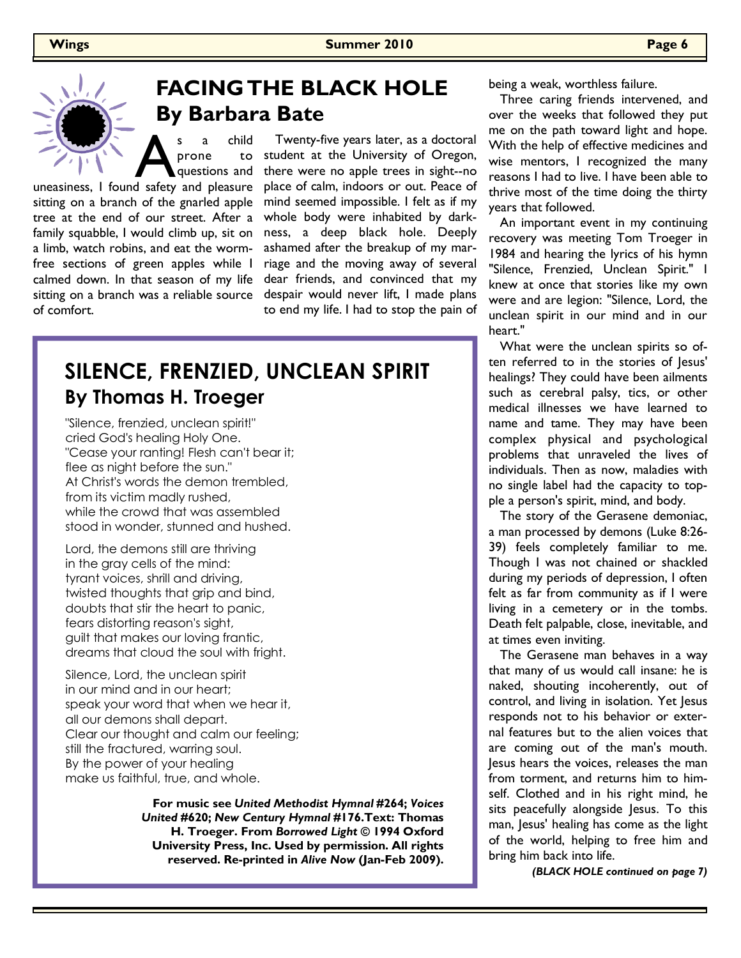## **FACING THE BLACK HOLE By Barbara Bate**

s a child<br>
prone to<br>
questions and<br>
uneasiness, I found safety and pleasure prone to questions and

sitting on a branch of the gnarled apple tree at the end of our street. After a family squabble, I would climb up, sit on a limb, watch robins, and eat the wormfree sections of green apples while I calmed down. In that season of my life sitting on a branch was a reliable source of comfort.

 Twenty-five years later, as a doctoral student at the University of Oregon, there were no apple trees in sight--no place of calm, indoors or out. Peace of mind seemed impossible. I felt as if my whole body were inhabited by darkness, a deep black hole. Deeply ashamed after the breakup of my marriage and the moving away of several dear friends, and convinced that my despair would never lift, I made plans to end my life. I had to stop the pain of

### **SILENCE, FRENZIED, UNCLEAN SPIRIT By Thomas H. Troeger**

"Silence, frenzied, unclean spirit!" cried God's healing Holy One. "Cease your ranting! Flesh can't bear it; flee as night before the sun." At Christ's words the demon trembled, from its victim madly rushed, while the crowd that was assembled stood in wonder, stunned and hushed.

Lord, the demons still are thriving in the gray cells of the mind: tyrant voices, shrill and driving, twisted thoughts that grip and bind, doubts that stir the heart to panic, fears distorting reason's sight, guilt that makes our loving frantic, dreams that cloud the soul with fright.

Silence, Lord, the unclean spirit in our mind and in our heart; speak your word that when we hear it, all our demons shall depart. Clear our thought and calm our feeling; still the fractured, warring soul. By the power of your healing make us faithful, true, and whole.

> **For music see** *United Methodist Hymnal* **#264;** *Voices United* **#620;** *New Century Hymnal* **#176.Text: Thomas H. Troeger. From** *Borrowed Light* **© 1994 Oxford University Press, Inc. Used by permission. All rights reserved. Re-printed in** *Alive Now* **(Jan-Feb 2009).**

being a weak, worthless failure.

 Three caring friends intervened, and over the weeks that followed they put me on the path toward light and hope. With the help of effective medicines and wise mentors, I recognized the many reasons I had to live. I have been able to thrive most of the time doing the thirty years that followed.

 An important event in my continuing recovery was meeting Tom Troeger in 1984 and hearing the lyrics of his hymn "Silence, Frenzied, Unclean Spirit." I knew at once that stories like my own were and are legion: "Silence, Lord, the unclean spirit in our mind and in our heart."

 What were the unclean spirits so often referred to in the stories of Jesus' healings? They could have been ailments such as cerebral palsy, tics, or other medical illnesses we have learned to name and tame. They may have been complex physical and psychological problems that unraveled the lives of individuals. Then as now, maladies with no single label had the capacity to topple a person's spirit, mind, and body.

 The story of the Gerasene demoniac, a man processed by demons (Luke 8:26- 39) feels completely familiar to me. Though I was not chained or shackled during my periods of depression, I often felt as far from community as if I were living in a cemetery or in the tombs. Death felt palpable, close, inevitable, and at times even inviting.

 The Gerasene man behaves in a way that many of us would call insane: he is naked, shouting incoherently, out of control, and living in isolation. Yet Jesus responds not to his behavior or external features but to the alien voices that are coming out of the man's mouth. Jesus hears the voices, releases the man from torment, and returns him to himself. Clothed and in his right mind, he sits peacefully alongside Jesus. To this man, Jesus' healing has come as the light of the world, helping to free him and bring him back into life.

*(BLACK HOLE continued on page 7)*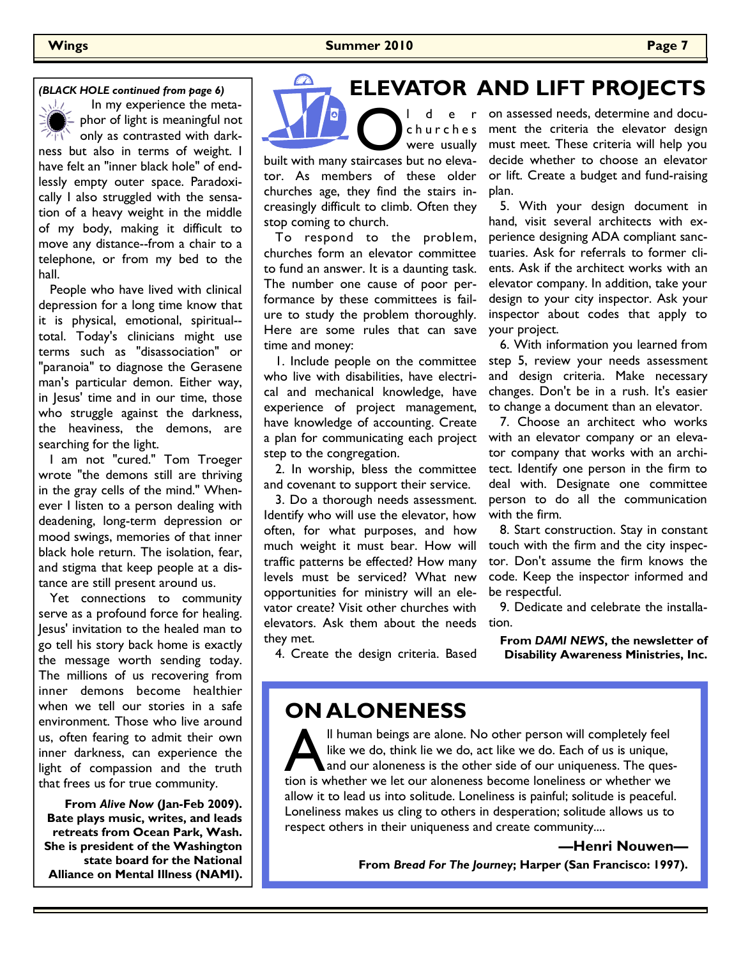### **Wings Summer 2010 Page 7**

### *(BLACK HOLE continued from page 6)*

 $\sqrt{2}$  In my experience the meta- $\equiv$  phor of light is meaningful not  $\overrightarrow{p}$  only as contrasted with darkness but also in terms of weight. I have felt an "inner black hole" of endlessly empty outer space. Paradoxically I also struggled with the sensation of a heavy weight in the middle of my body, making it difficult to move any distance--from a chair to a telephone, or from my bed to the hall.

 People who have lived with clinical depression for a long time know that it is physical, emotional, spiritual- total. Today's clinicians might use terms such as "disassociation" or "paranoia" to diagnose the Gerasene man's particular demon. Either way, in Jesus' time and in our time, those who struggle against the darkness, the heaviness, the demons, are searching for the light.

 I am not "cured." Tom Troeger wrote "the demons still are thriving in the gray cells of the mind." Whenever I listen to a person dealing with deadening, long-term depression or mood swings, memories of that inner black hole return. The isolation, fear, and stigma that keep people at a distance are still present around us.

 Yet connections to community serve as a profound force for healing. Jesus' invitation to the healed man to go tell his story back home is exactly the message worth sending today. The millions of us recovering from inner demons become healthier when we tell our stories in a safe environment. Those who live around us, often fearing to admit their own inner darkness, can experience the light of compassion and the truth that frees us for true community.

**From** *Alive Now* **(Jan-Feb 2009). Bate plays music, writes, and leads retreats from Ocean Park, Wash. She is president of the Washington state board for the National Alliance on Mental Illness (NAMI).** 

### **ELEVATOR AND LIFT PROJECTS**

O l d e r<br>
of d e r<br>
of d d e r<br>
of d d e r<br>
were usually<br>
built with many staircases but no elevac h u r c h e s were usually tor. As members of these older

churches age, they find the stairs increasingly difficult to climb. Often they stop coming to church. To respond to the problem,

churches form an elevator committee to fund an answer. It is a daunting task. The number one cause of poor performance by these committees is failure to study the problem thoroughly. Here are some rules that can save time and money:

 1. Include people on the committee who live with disabilities, have electrical and mechanical knowledge, have experience of project management, have knowledge of accounting. Create a plan for communicating each project step to the congregation.

 2. In worship, bless the committee and covenant to support their service.

 3. Do a thorough needs assessment. Identify who will use the elevator, how often, for what purposes, and how much weight it must bear. How will traffic patterns be effected? How many levels must be serviced? What new opportunities for ministry will an elevator create? Visit other churches with elevators. Ask them about the needs tion. they met.

on assessed needs, determine and document the criteria the elevator design must meet. These criteria will help you decide whether to choose an elevator or lift. Create a budget and fund-raising plan.

 5. With your design document in hand, visit several architects with experience designing ADA compliant sanctuaries. Ask for referrals to former clients. Ask if the architect works with an elevator company. In addition, take your design to your city inspector. Ask your inspector about codes that apply to your project.

 6. With information you learned from step 5, review your needs assessment and design criteria. Make necessary changes. Don't be in a rush. It's easier to change a document than an elevator.

 7. Choose an architect who works with an elevator company or an elevator company that works with an architect. Identify one person in the firm to deal with. Designate one committee person to do all the communication with the firm.

 8. Start construction. Stay in constant touch with the firm and the city inspector. Don't assume the firm knows the code. Keep the inspector informed and be respectful.

9. Dedicate and celebrate the installa-

**From** *DAMI NEWS***, the newsletter of Disability Awareness Ministries, Inc.**

4. Create the design criteria. Based

### **ON ALONENESS**

Il human beings are alone. No other person will completely feel like we do, think lie we do, act like we do. Each of us is unique, and our aloneness is the other side of our uniqueness. The question is whether we let our aloneness become loneliness or whether we allow it to lead us into solitude. Loneliness is painful; solitude is peaceful. Loneliness makes us cling to others in desperation; solitude allows us to respect others in their uniqueness and create community....

> **—Henri Nouwen— From** *Bread For The Journey***; Harper (San Francisco: 1997).**